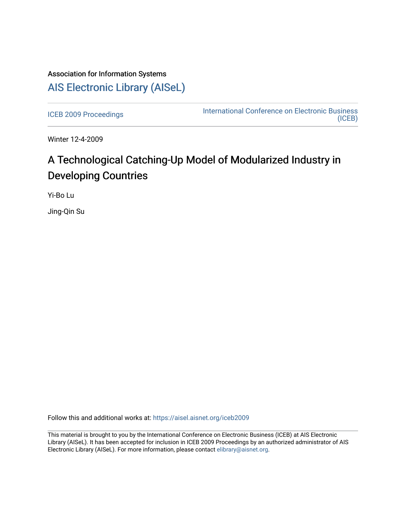## Association for Information Systems [AIS Electronic Library \(AISeL\)](https://aisel.aisnet.org/)

[ICEB 2009 Proceedings](https://aisel.aisnet.org/iceb2009) **International Conference on Electronic Business** [\(ICEB\)](https://aisel.aisnet.org/iceb) 

Winter 12-4-2009

# A Technological Catching-Up Model of Modularized Industry in Developing Countries

Yi-Bo Lu

Jing-Qin Su

Follow this and additional works at: [https://aisel.aisnet.org/iceb2009](https://aisel.aisnet.org/iceb2009?utm_source=aisel.aisnet.org%2Ficeb2009%2F72&utm_medium=PDF&utm_campaign=PDFCoverPages)

This material is brought to you by the International Conference on Electronic Business (ICEB) at AIS Electronic Library (AISeL). It has been accepted for inclusion in ICEB 2009 Proceedings by an authorized administrator of AIS Electronic Library (AISeL). For more information, please contact [elibrary@aisnet.org.](mailto:elibrary@aisnet.org%3E)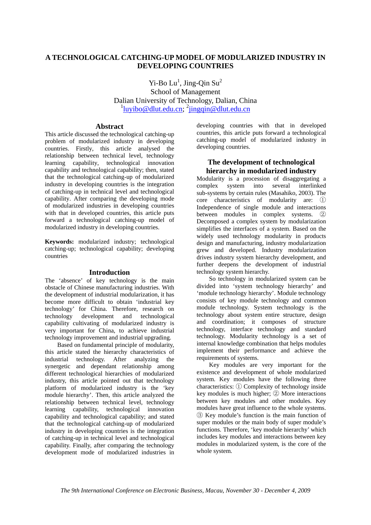## **A TECHNOLOGICAL CATCHING-UP MODEL OF MODULARIZED INDUSTRY IN DEVELOPING COUNTRIES**

Yi-Bo  $Lu^1$ , Jing-Qin Su<sup>2</sup> School of Management Dalian University of Technology, Dalian, China <sup>1</sup>luyibo@dlut.edu.cn; <sup>2</sup>jingqin@dlut.edu.cn

### **Abstract**

This article discussed the technological catching-up problem of modularized industry in developing countries. Firstly, this article analysed the relationship between technical level, technology learning capability, technological innovation capability and technological capability; then, stated that the technological catching-up of modularized industry in developing countries is the integration of catching-up in technical level and technological capability. After comparing the developing mode of modularized industries in developing countries with that in developed countries, this article puts forward a technological catching-up model of modularized industry in developing countries.

**Keywords:** modularized industry; technological catching-up; technological capability; developing countries

## **Introduction**

The 'absence' of key technology is the main obstacle of Chinese manufacturing industries. With the development of industrial modularization, it has become more difficult to obtain 'industrial key technology' for China. Therefore, research on technology development and technological capability cultivating of modularized industry is very important for China, to achieve industrial technology improvement and industrial upgrading.

Based on fundamental principle of modularity, this article stated the hierarchy characteristics of industrial technology. After analyzing the synergetic and dependant relationship among different technological hierarchies of modularized industry, this article pointed out that technology platform of modularized industry is the 'key module hierarchy'. Then, this article analyzed the relationship between technical level, technology learning capability, technological innovation capability and technological capability; and stated that the technological catching-up of modularized industry in developing countries is the integration of catching-up in technical level and technological capability. Finally, after comparing the technology development mode of modularized industries in developing countries with that in developed countries, this article puts forward a technological catching-up model of modularized industry in developing countries.

## **The development of technological hierarchy in modularized industry**

Modularity is a procession of disaggregating a complex system into several interlinked sub-systems by certain rules (Masahiko, 2003). The core characteristics of modularity are: ① Independence of single module and interactions between modules in complex systems. ② Decomposed a complex system by modularization simplifies the interfaces of a system. Based on the widely used technology modularity in products design and manufacturing, industry modularization grew and developed. Industry modularization drives industry system hierarchy development, and further deepens the development of industrial technology system hierarchy.

So technology in modularized system can be divided into 'system technology hierarchy' and 'module technology hierarchy'. Module technology consists of key module technology and common module technology. System technology is the technology about system entire structure, design and coordination; it composes of structure technology, interface technology and standard technology. Modularity technology is a set of internal knowledge combination that helps modules implement their performance and achieve the requirements of systems.

Key modules are very important for the existence and development of whole modularized system. Key modules have the following three characteristics: ① Complexity of technology inside key modules is much higher; ② More interactions between key modules and other modules. Key modules have great influence to the whole systems. ③ Key module's function is the main function of super modules or the main body of super module's functions. Therefore, 'key module hierarchy' which includes key modules and interactions between key modules in modularized system, is the core of the whole system.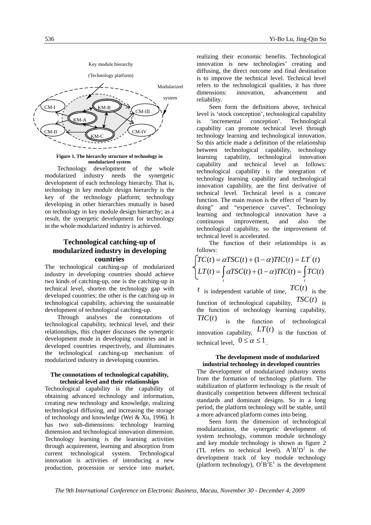

**Figure 1. The hierarchy structure of technology in modularized system** 

Technology development of the whole modularized industry needs the synergetic development of each technology hierarchy. That is, technology in key module design hierarchy is the key of the technology platform; technology developing in other hierarchies mutually is based on technology in key module design hierarchy; as a result, the synergetic development for technology in the whole modularized industry is achieved.

## **Technological catching-up of modularized industry in developing countries**

The technological catching-up of modularized industry in developing countries should achieve two kinds of catching-up, one is the catching-up in technical level, shorten the technology gap with developed countries; the other is the catching-up in technological capability, achieving the sustainable development of technological catching-up.

Through analyses the connotations of technological capability, technical level, and their relationships, this chapter discusses the synergetic development mode in developing countries and in developed countries respectively, and illuminates the technological catching-up mechanism of modularized industry in developing countries.

#### **The connotations of technological capability, technical level and their relationships**

Technological capability is the capability of obtaining advanced technology and information, creating new technology and knowledge, realizing technological diffusing, and increasing the storage of technology and knowledge (Wei & Xu, 1996). It has two sub-dimensions: technology learning dimension and technological innovation dimension. Technology learning is the learning activities through acquirement, learning and absorption from current technological system. Technological innovation is activities of introducing a new production, procession or service into market,

realizing their economic benefits. Technological innovation is new technologies' creating and diffusing, the direct outcome and final destination is to improve the technical level. Technical level refers to the technological qualities, it has three dimensions: innovation, advancement and reliability.

Seen form the definitions above, technical level is 'stock conception', technological capability is 'incremental conception'. Technological capability can promote technical level through technology learning and technological innovation. So this article made a definition of the relationship between technological capability, technology learning capability, technological innovation capability and technical level as follows: technological capability is the integration of technology learning capability and technological innovation capability, are the first derivative of technical level. Technical level is a concave function. The main reason is the effect of "learn by doing" and "experience curves". Technology learning and technological innovation have a continuous improvement, and also the technological capability, so the improvement of technical level is accelerated.

The function of their relationships is as follows:

$$
\begin{cases}\nTC(t) = \alpha TSC(t) + (1 - \alpha)TIC(t) = LT'(t) \\
LT(t) = \int_t \alpha TSC(t) + (1 - \alpha)TIC(t) = \int_t TC(t) \\
t \text{ is independent variable of time, } TC(t) \\
\text{ is the}\n\end{cases}
$$

function of technological capability,  $TSC(t)$  is the function of technology learning capability, *TIC*(*t*) is the function of technological innovation capability,  $LT(t)$  is the function of technical level,  $0 \le \alpha \le 1$ .

#### **The development mode of modularized industrial technology in developed countries**

The development of modularized industry stems from the formation of technology platform. The stabilization of platform technology is the result of drastically competition between different technical standards and dominant designs. So in a long period, the platform technology will be stable, until a more advanced platform comes into being.

Seen form the dimension of technological modularization, the synergetic development of system technology, common module technology and key module technology is shown as figure 2 (TL refers to technical level).  $A^{1}B^{1}D^{1}$  is the development track of key module technology (platform technology),  $O^{1}B^{1}E^{1}$  is the development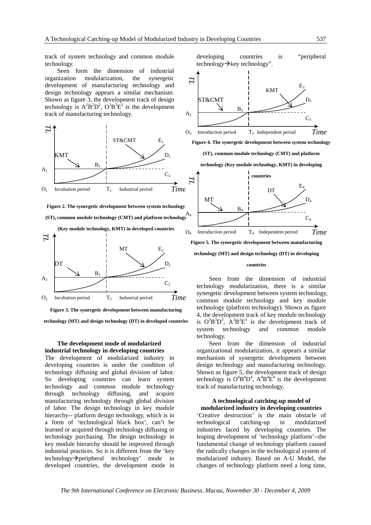track of system technology and common module technology.

Seen form the dimension of industrial organization modularization, the synergetic development of manufacturing technology and design technology appears a similar mechanism. Shown as figure 3, the development track of design technology is  $A^2B^2D^2$ ,  $O^2B^2E^2$  is the development track of manufacturing technology.



**Figure 2. The synergetic development between system technology** 

**(ST), common module technology (CMT) and platform technology**  A4



**Figure 3. The synergetic development between manufacturing** 

**technology (MT) and design technology (DT) in developed countries**

#### **The development mode of modularized industrial technology in developing countries**

The development of modularized industry in developing countries is under the condition of technology diffusing and global division of labor. So developing countries can learn system technology and common module technology through technology diffusing, and acquire manufacturing technology through global division of labor. The design technology in key module hierarchy-- platform design technology, which is in a form of 'technological black box', can't be learned or acquired through technology diffusing or technology purchasing. The design technology in key module hierarchy should be improved through industrial practices. So it is different from the 'key  $technology \rightarrow peripheral$  technology' mode in developed countries, the development mode in

developing countries is "peripheral technology $\rightarrow$ key technology".



**Figure 4. The synergetic development between system technology** 

**(ST), common module technology (CMT) and platform** 

**technology (Key module technology, KMT) in developing** 



**Figure 5. The synergetic development between manufacturing** 

**technology (MT) and design technology (DT) in developing** 

#### **countries**

Seen from the dimension of industrial technology modularization, there is a similar synergetic development between system technology, common module technology and key module technology (platform technology). Shown as figure 4, the development track of key module technology is  $O^3B^3D^3$ ,  $A^3B^3E^3$  is the development track of system technology and common module technology.

Seen from the dimension of industrial organizational modularization, it appears a similar mechanism of synergetic development between design technology and manufacturing technology. Shown as figure 5, the development track of design technology is  $O^4B^4D^4$ ,  $A^4B^4E^4$  is the development track of manufacturing technology.

#### **A technological catching-up model of modularized industry in developing countries**

'Creative destruction' is the main obstacle of technological catching-up in modularized industries faced by developing countries. The leaping development of 'technology platform'--the fundamental change of technology platform caused the radically changes in the technological system of modularized industry. Based on A-U Model, the changes of technology platform need a long time,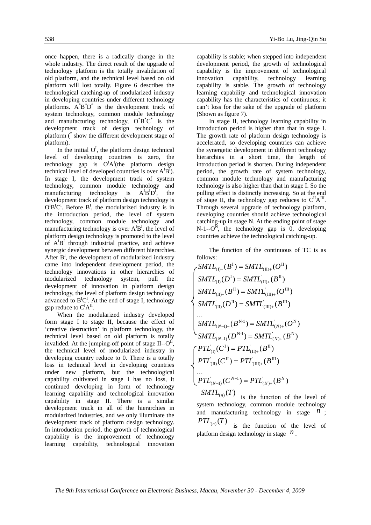once happen, there is a radically change in the whole industry. The direct result of the upgrade of technology platform is the totally invalidation of old platform, and the technical level based on old platform will lost totally. Figure 6 describes the technological catching-up of modularized industry in developing countries under different technology platforms.  $A^{\dagger}B^{\dagger}D^{\dagger}$  is the development track of system technology, common module technology and manufacturing technology,  $O^{\dagger}B^{\dagger}C^{\dagger}$  is the development track of design technology of platform (\* show the different development stage of platform).

In the initial  $O<sup>I</sup>$ , the platform design technical level of developing countries is zero, the technology gap is  $O^I A^I$  (the platform design technical level of developed countries is over  $A^{I}B^{I}$ ). In stage I, the development track of system technology, common module technology and manufacturing technology is  $A^{I}B^{I}D^{I}$ , the development track of platform design technology is  $O^{I}B^{I}C^{I}$ . Before  $B^{I}$ , the modularized industry is in the introduction period, the level of system technology, common module technology and manufacturing technology is over  $A^{I}B^{I}$ , the level of platform design technology is promoted to the level of  $A^{I}B^{I}$  through industrial practice, and achieve synergic development between different hierarchies. After  $B<sup>I</sup>$ , the development of modularized industry came into independent development period, the technology innovations in other hierarchies of modularized technology system, pull the development of innovation in platform design technology, the level of platform design technology advanced to  $B^{I}C^{I}$ . At the end of stage I, technology gap reduce to  $C^{I}A^{II}$ .

When the modularized industry developed form stage I to stage II, because the effect of 'creative destruction' in platform technology, the technical level based on old platform is totally invalided. At the jumping-off point of stage II-- $O^{II}$ , the technical level of modularized industry in developing country reduce to 0. There is a totally loss in technical level in developing countries under new platform, but the technological capability cultivated in stage I has no loss, it continued developing in form of technology learning capability and technological innovation capability in stage II. There is a similar development track in all of the hierarchies in modularized industries, and we only illuminate the development track of platform design technology. In introduction period, the growth of technological capability is the improvement of technology learning capability, technological innovation

capability is stable; when stepped into independent development period, the growth of technological capability is the improvement of technological innovation capability, technology learning capability is stable. The growth of technology learning capability and technological innovation capability has the characteristics of continuous; it can't loss for the sake of the upgrade of platform (Shown as figure 7).

In stage II, technology learning capability in introduction period is higher than that in stage I. The growth rate of platform design technology is accelerated, so developing countries can achieve the synergetic development in different technology hierarchies in a short time, the length of introduction period is shorten. During independent period, the growth rate of system technology, common module technology and manufacturing technology is also higher than that in stage I. So the pulling effect is distinctly increasing. So at the end of stage II, the technology gap reduces to  $C^{\text{II}}A^{\text{III}}$ . Through several upgrade of technology platform, developing countries should achieve technological catching-up in stage N. At the ending point of stage  $N-1$ - $O^N$ , the technology gap is 0, developing countries achieve the technological catching-up.

The function of the continuous of TC is as follows:

$$
\begin{cases}\nSMTL_{(I)-}(B^I) = SMTL_{(II)+}(O^II) \\
SMTL_{(I)}(D^I) = SMTL_{(II)+}(B^II) \\
SMTL_{(II)-}(B^II) = SMTL_{(III)+}(O^{III}) \\
SMTL_{(II)}(D^II) = SMTL_{(III)+}(B^{III}) \\
\cdots \\
SMTL_{(N-1)-}(B^{N-1}) = SMTL_{(N)+}(O^N) \\
SMTL_{(N-1)}(D^{N-1}) = SMTL_{(N)+}(B^N) \\
\begin{cases}\nPTL_{(I)}(C^I) = PTL_{(II)+}(B^II) \\
PTL_{(II)}(C^II) = PTL_{(III)+}(B^III) \\
\cdots \\
PTL_{(N-1)}(C^{N-1}) = PTL_{(N)+}(B^N)\n\end{cases}\n\end{cases}
$$

 $SMTL_{(n)}(T)$  is the function of the level of system technology, common module technology and manufacturing technology in stage  $\frac{n}{n}$ ;  $PTL_{(n)}(T)$  is the function of the level of platform design technology in stage *n* .